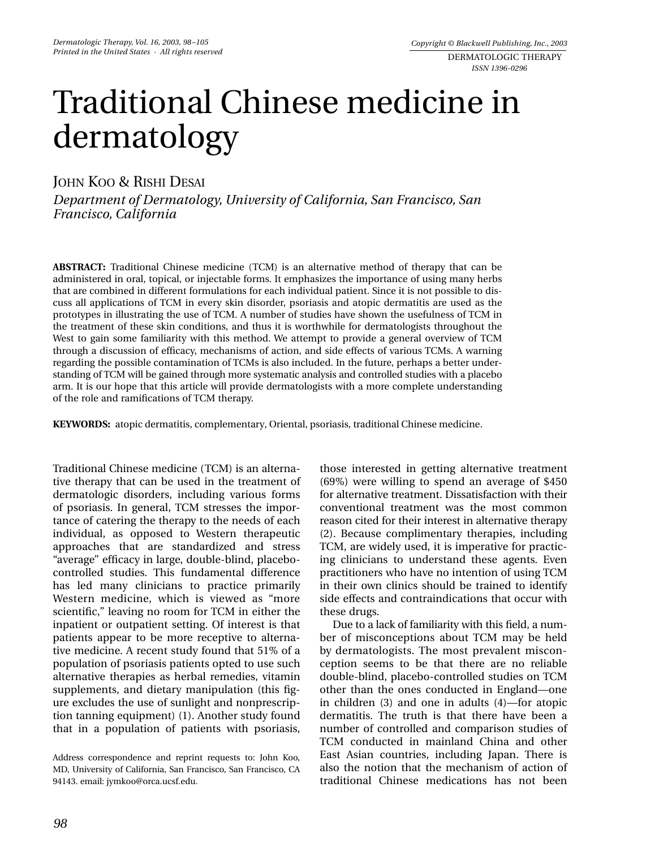# Traditional Chinese medicine in dermatology

#### JOHN KOO & RISHI DESAI

*Department of Dermatology, University of California, San Francisco, San Francisco, California* 

**ABSTRACT:** Traditional Chinese medicine (TCM) is an alternative method of therapy that can be administered in oral, topical, or injectable forms. It emphasizes the importance of using many herbs that are combined in different formulations for each individual patient. Since it is not possible to discuss all applications of TCM in every skin disorder, psoriasis and atopic dermatitis are used as the prototypes in illustrating the use of TCM. A number of studies have shown the usefulness of TCM in the treatment of these skin conditions, and thus it is worthwhile for dermatologists throughout the West to gain some familiarity with this method. We attempt to provide a general overview of TCM through a discussion of efficacy, mechanisms of action, and side effects of various TCMs. A warning regarding the possible contamination of TCMs is also included. In the future, perhaps a better understanding of TCM will be gained through more systematic analysis and controlled studies with a placebo arm. It is our hope that this article will provide dermatologists with a more complete understanding of the role and ramifications of TCM therapy.

**KEYWORDS:** atopic dermatitis, complementary, Oriental, psoriasis, traditional Chinese medicine.

Traditional Chinese medicine (TCM) is an alternative therapy that can be used in the treatment of dermatologic disorders, including various forms of psoriasis. In general, TCM stresses the importance of catering the therapy to the needs of each individual, as opposed to Western therapeutic approaches that are standardized and stress "average" efficacy in large, double-blind, placebocontrolled studies. This fundamental difference has led many clinicians to practice primarily Western medicine, which is viewed as "more scientific," leaving no room for TCM in either the inpatient or outpatient setting. Of interest is that patients appear to be more receptive to alternative medicine. A recent study found that 51% of a population of psoriasis patients opted to use such alternative therapies as herbal remedies, vitamin supplements, and dietary manipulation (this figure excludes the use of sunlight and nonprescription tanning equipment) (1). Another study found that in a population of patients with psoriasis,

those interested in getting alternative treatment (69%) were willing to spend an average of \$450 for alternative treatment. Dissatisfaction with their conventional treatment was the most common reason cited for their interest in alternative therapy (2). Because complimentary therapies, including TCM, are widely used, it is imperative for practicing clinicians to understand these agents. Even practitioners who have no intention of using TCM in their own clinics should be trained to identify side effects and contraindications that occur with these drugs.

Due to a lack of familiarity with this field, a number of misconceptions about TCM may be held by dermatologists. The most prevalent misconception seems to be that there are no reliable double-blind, placebo-controlled studies on TCM other than the ones conducted in England—one in children (3) and one in adults (4)—for atopic dermatitis. The truth is that there have been a number of controlled and comparison studies of TCM conducted in mainland China and other East Asian countries, including Japan. There is also the notion that the mechanism of action of traditional Chinese medications has not been

Address correspondence and reprint requests to: John Koo, MD, University of California, San Francisco, San Francisco, CA 94143. email: jymkoo@orca.ucsf.edu.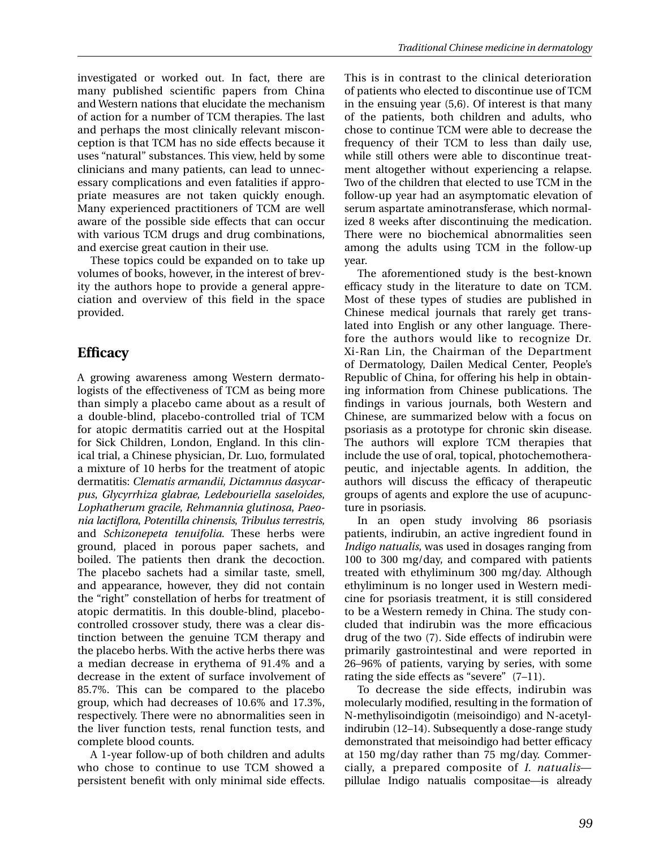investigated or worked out. In fact, there are many published scientific papers from China and Western nations that elucidate the mechanism of action for a number of TCM therapies. The last and perhaps the most clinically relevant misconception is that TCM has no side effects because it uses "natural" substances. This view, held by some clinicians and many patients, can lead to unnecessary complications and even fatalities if appropriate measures are not taken quickly enough. Many experienced practitioners of TCM are well aware of the possible side effects that can occur with various TCM drugs and drug combinations, and exercise great caution in their use.

These topics could be expanded on to take up volumes of books, however, in the interest of brevity the authors hope to provide a general appreciation and overview of this field in the space provided.

## **Efficacy**

A growing awareness among Western dermatologists of the effectiveness of TCM as being more than simply a placebo came about as a result of a double-blind, placebo-controlled trial of TCM for atopic dermatitis carried out at the Hospital for Sick Children, London, England. In this clinical trial, a Chinese physician, Dr. Luo, formulated a mixture of 10 herbs for the treatment of atopic dermatitis: *Clematis armandii*, *Dictamnus dasycarpus*, *Glycyrrhiza glabrae*, *Ledebouriella saseloides*, *Lophatherum gracile*, *Rehmannia glutinosa*, *Paeonia lactiflora*, *Potentilla chinensis*, *Tribulus terrestris*, and *Schizonepeta tenuifolia*. These herbs were ground, placed in porous paper sachets, and boiled. The patients then drank the decoction. The placebo sachets had a similar taste, smell, and appearance, however, they did not contain the "right" constellation of herbs for treatment of atopic dermatitis. In this double-blind, placebocontrolled crossover study, there was a clear distinction between the genuine TCM therapy and the placebo herbs. With the active herbs there was a median decrease in erythema of 91.4% and a decrease in the extent of surface involvement of 85.7%. This can be compared to the placebo group, which had decreases of 10.6% and 17.3%, respectively. There were no abnormalities seen in the liver function tests, renal function tests, and complete blood counts.

A 1-year follow-up of both children and adults who chose to continue to use TCM showed a persistent benefit with only minimal side effects. This is in contrast to the clinical deterioration of patients who elected to discontinue use of TCM in the ensuing year (5,6). Of interest is that many of the patients, both children and adults, who chose to continue TCM were able to decrease the frequency of their TCM to less than daily use, while still others were able to discontinue treatment altogether without experiencing a relapse. Two of the children that elected to use TCM in the follow-up year had an asymptomatic elevation of serum aspartate aminotransferase, which normalized 8 weeks after discontinuing the medication. There were no biochemical abnormalities seen among the adults using TCM in the follow-up year.

The aforementioned study is the best-known efficacy study in the literature to date on TCM. Most of these types of studies are published in Chinese medical journals that rarely get translated into English or any other language. Therefore the authors would like to recognize Dr. Xi-Ran Lin, the Chairman of the Department of Dermatology, Dailen Medical Center, People's Republic of China, for offering his help in obtaining information from Chinese publications. The findings in various journals, both Western and Chinese, are summarized below with a focus on psoriasis as a prototype for chronic skin disease. The authors will explore TCM therapies that include the use of oral, topical, photochemotherapeutic, and injectable agents. In addition, the authors will discuss the efficacy of therapeutic groups of agents and explore the use of acupuncture in psoriasis.

In an open study involving 86 psoriasis patients, indirubin, an active ingredient found in *Indigo natualis*, was used in dosages ranging from 100 to 300 mg/day, and compared with patients treated with ethyliminum 300 mg/day. Although ethyliminum is no longer used in Western medicine for psoriasis treatment, it is still considered to be a Western remedy in China. The study concluded that indirubin was the more efficacious drug of the two (7). Side effects of indirubin were primarily gastrointestinal and were reported in 26–96% of patients, varying by series, with some rating the side effects as "severe" (7–11).

To decrease the side effects, indirubin was molecularly modified, resulting in the formation of N-methylisoindigotin (meisoindigo) and N-acetylindirubin (12–14). Subsequently a dose-range study demonstrated that meisoindigo had better efficacy at 150 mg/day rather than 75 mg/day. Commercially, a prepared composite of *I. natualis* pillulae Indigo natualis compositae—is already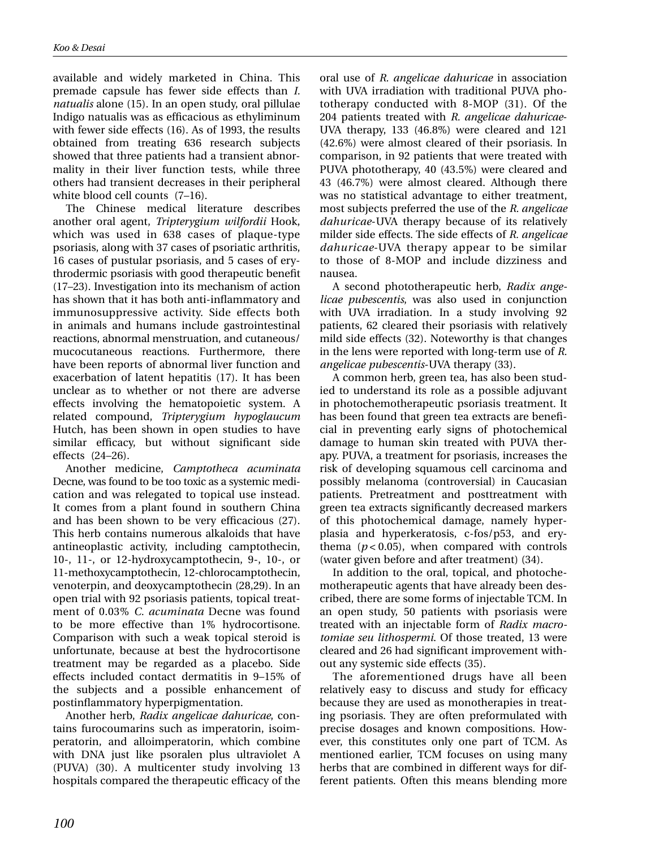available and widely marketed in China. This premade capsule has fewer side effects than *I. natualis* alone (15). In an open study, oral pillulae Indigo natualis was as efficacious as ethyliminum with fewer side effects (16). As of 1993, the results obtained from treating 636 research subjects showed that three patients had a transient abnormality in their liver function tests, while three others had transient decreases in their peripheral white blood cell counts (7–16).

The Chinese medical literature describes another oral agent, *Tripterygium wilfordii* Hook, which was used in 638 cases of plaque-type psoriasis, along with 37 cases of psoriatic arthritis, 16 cases of pustular psoriasis, and 5 cases of erythrodermic psoriasis with good therapeutic benefit (17–23). Investigation into its mechanism of action has shown that it has both anti-inflammatory and immunosuppressive activity. Side effects both in animals and humans include gastrointestinal reactions, abnormal menstruation, and cutaneous/ mucocutaneous reactions. Furthermore, there have been reports of abnormal liver function and exacerbation of latent hepatitis (17). It has been unclear as to whether or not there are adverse effects involving the hematopoietic system. A related compound, *Tripterygium hypoglaucum* Hutch, has been shown in open studies to have similar efficacy, but without significant side effects (24–26).

Another medicine, *Camptotheca acuminata* Decne, was found to be too toxic as a systemic medication and was relegated to topical use instead. It comes from a plant found in southern China and has been shown to be very efficacious (27). This herb contains numerous alkaloids that have antineoplastic activity, including camptothecin, 10-, 11-, or 12-hydroxycamptothecin, 9-, 10-, or 11-methoxycamptothecin, 12-chlorocamptothecin, venoterpin, and deoxycamptothecin (28,29). In an open trial with 92 psoriasis patients, topical treatment of 0.03% *C. acuminata* Decne was found to be more effective than 1% hydrocortisone. Comparison with such a weak topical steroid is unfortunate, because at best the hydrocortisone treatment may be regarded as a placebo. Side effects included contact dermatitis in 9–15% of the subjects and a possible enhancement of postinflammatory hyperpigmentation.

Another herb, *Radix angelicae dahuricae*, contains furocoumarins such as imperatorin, isoimperatorin, and alloimperatorin, which combine with DNA just like psoralen plus ultraviolet A (PUVA) (30). A multicenter study involving 13 hospitals compared the therapeutic efficacy of the oral use of *R. angelicae dahuricae* in association with UVA irradiation with traditional PUVA phototherapy conducted with 8-MOP (31). Of the 204 patients treated with *R. angelicae dahuricae*-UVA therapy, 133 (46.8%) were cleared and 121 (42.6%) were almost cleared of their psoriasis. In comparison, in 92 patients that were treated with PUVA phototherapy, 40 (43.5%) were cleared and 43 (46.7%) were almost cleared. Although there was no statistical advantage to either treatment, most subjects preferred the use of the *R. angelicae dahuricae*-UVA therapy because of its relatively milder side effects. The side effects of *R. angelicae dahuricae*-UVA therapy appear to be similar to those of 8-MOP and include dizziness and nausea.

A second phototherapeutic herb, *Radix angelicae pubescentis*, was also used in conjunction with UVA irradiation. In a study involving 92 patients, 62 cleared their psoriasis with relatively mild side effects (32). Noteworthy is that changes in the lens were reported with long-term use of *R. angelicae pubescentis*-UVA therapy (33).

A common herb, green tea, has also been studied to understand its role as a possible adjuvant in photochemotherapeutic psoriasis treatment. It has been found that green tea extracts are beneficial in preventing early signs of photochemical damage to human skin treated with PUVA therapy. PUVA, a treatment for psoriasis, increases the risk of developing squamous cell carcinoma and possibly melanoma (controversial) in Caucasian patients. Pretreatment and posttreatment with green tea extracts significantly decreased markers of this photochemical damage, namely hyperplasia and hyperkeratosis, c-fos/p53, and erythema ( $p < 0.05$ ), when compared with controls (water given before and after treatment) (34).

In addition to the oral, topical, and photochemotherapeutic agents that have already been described, there are some forms of injectable TCM. In an open study, 50 patients with psoriasis were treated with an injectable form of *Radix macrotomiae seu lithospermi*. Of those treated, 13 were cleared and 26 had significant improvement without any systemic side effects (35).

The aforementioned drugs have all been relatively easy to discuss and study for efficacy because they are used as monotherapies in treating psoriasis. They are often preformulated with precise dosages and known compositions. However, this constitutes only one part of TCM. As mentioned earlier, TCM focuses on using many herbs that are combined in different ways for different patients. Often this means blending more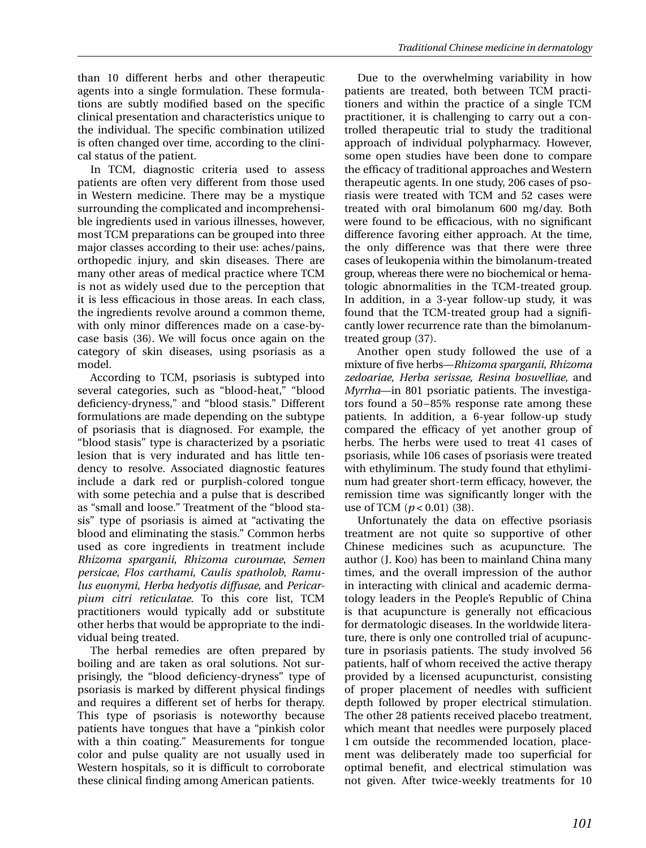than 10 different herbs and other therapeutic agents into a single formulation. These formulations are subtly modified based on the specific clinical presentation and characteristics unique to the individual. The specific combination utilized is often changed over time, according to the clinical status of the patient.

In TCM, diagnostic criteria used to assess patients are often very different from those used in Western medicine. There may be a mystique surrounding the complicated and incomprehensible ingredients used in various illnesses, however, most TCM preparations can be grouped into three major classes according to their use: aches/pains, orthopedic injury, and skin diseases. There are many other areas of medical practice where TCM is not as widely used due to the perception that it is less efficacious in those areas. In each class, the ingredients revolve around a common theme, with only minor differences made on a case-bycase basis (36). We will focus once again on the category of skin diseases, using psoriasis as a model.

According to TCM, psoriasis is subtyped into several categories, such as "blood-heat," "blood deficiency-dryness," and "blood stasis." Different formulations are made depending on the subtype of psoriasis that is diagnosed. For example, the "blood stasis" type is characterized by a psoriatic lesion that is very indurated and has little tendency to resolve. Associated diagnostic features include a dark red or purplish-colored tongue with some petechia and a pulse that is described as "small and loose." Treatment of the "blood stasis" type of psoriasis is aimed at "activating the blood and eliminating the stasis." Common herbs used as core ingredients in treatment include *Rhizoma sparganii*, *Rhizoma curoumae*, *Semen persicae*, *Flos carthami*, *Caulis spatholob*, *Ramulus euonymi*, *Herba hedyotis diffusae*, and *Pericarpium citri reticulatae*. To this core list, TCM practitioners would typically add or substitute other herbs that would be appropriate to the individual being treated.

The herbal remedies are often prepared by boiling and are taken as oral solutions. Not surprisingly, the "blood deficiency-dryness" type of psoriasis is marked by different physical findings and requires a different set of herbs for therapy. This type of psoriasis is noteworthy because patients have tongues that have a "pinkish color with a thin coating." Measurements for tongue color and pulse quality are not usually used in Western hospitals, so it is difficult to corroborate these clinical finding among American patients.

Due to the overwhelming variability in how patients are treated, both between TCM practitioners and within the practice of a single TCM practitioner, it is challenging to carry out a controlled therapeutic trial to study the traditional approach of individual polypharmacy. However, some open studies have been done to compare the efficacy of traditional approaches and Western therapeutic agents. In one study, 206 cases of psoriasis were treated with TCM and 52 cases were treated with oral bimolanum 600 mg/day. Both were found to be efficacious, with no significant difference favoring either approach. At the time, the only difference was that there were three cases of leukopenia within the bimolanum-treated group, whereas there were no biochemical or hematologic abnormalities in the TCM-treated group. In addition, in a 3-year follow-up study, it was found that the TCM-treated group had a significantly lower recurrence rate than the bimolanumtreated group (37).

Another open study followed the use of a mixture of five herbs—*Rhizoma sparganii*, *Rhizoma zedoariae*, *Herba serissae*, *Resina boswelliae*, and *Myrrha*—in 801 psoriatic patients. The investigators found a 50–85% response rate among these patients. In addition, a 6-year follow-up study compared the efficacy of yet another group of herbs. The herbs were used to treat 41 cases of psoriasis, while 106 cases of psoriasis were treated with ethyliminum. The study found that ethyliminum had greater short-term efficacy, however, the remission time was significantly longer with the use of TCM ( $p < 0.01$ ) (38).

Unfortunately the data on effective psoriasis treatment are not quite so supportive of other Chinese medicines such as acupuncture. The author (J. Koo) has been to mainland China many times, and the overall impression of the author in interacting with clinical and academic dermatology leaders in the People's Republic of China is that acupuncture is generally not efficacious for dermatologic diseases. In the worldwide literature, there is only one controlled trial of acupuncture in psoriasis patients. The study involved 56 patients, half of whom received the active therapy provided by a licensed acupuncturist, consisting of proper placement of needles with sufficient depth followed by proper electrical stimulation. The other 28 patients received placebo treatment, which meant that needles were purposely placed 1 cm outside the recommended location, placement was deliberately made too superficial for optimal benefit, and electrical stimulation was not given. After twice-weekly treatments for 10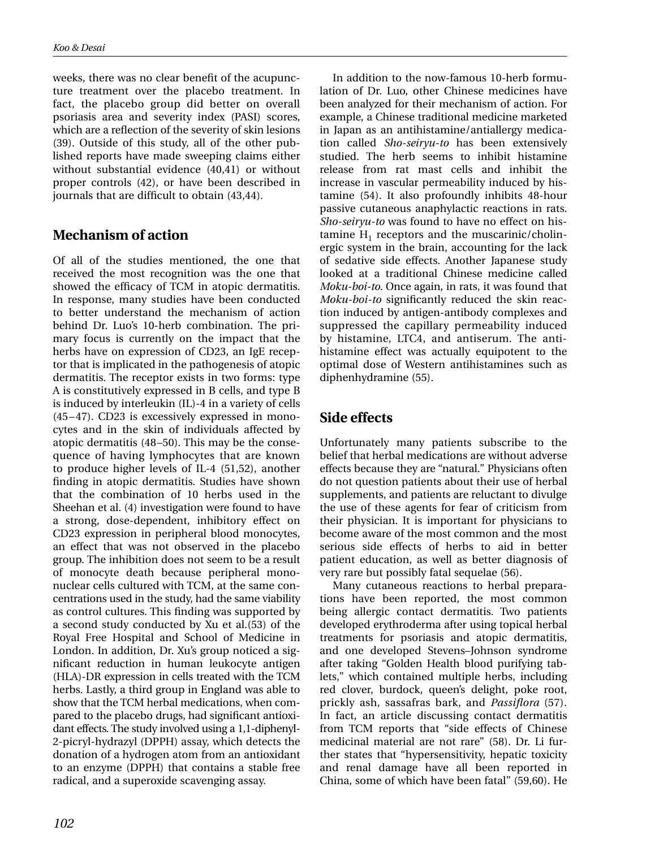weeks, there was no clear benefit of the acupuncture treatment over the placebo treatment. In fact, the placebo group did better on overall psoriasis area and severity index (PASI) scores, which are a reflection of the severity of skin lesions (39). Outside of this study, all of the other published reports have made sweeping claims either without substantial evidence (40,41) or without proper controls (42), or have been described in journals that are difficult to obtain (43,44).

#### **Mechanism of action**

Of all of the studies mentioned, the one that received the most recognition was the one that showed the efficacy of TCM in atopic dermatitis. In response, many studies have been conducted to better understand the mechanism of action behind Dr. Luo's 10-herb combination. The primary focus is currently on the impact that the herbs have on expression of CD23, an IgE receptor that is implicated in the pathogenesis of atopic dermatitis. The receptor exists in two forms: type A is constitutively expressed in B cells, and type B is induced by interleukin (IL)-4 in a variety of cells (45–47). CD23 is excessively expressed in monocytes and in the skin of individuals affected by atopic dermatitis (48–50). This may be the consequence of having lymphocytes that are known to produce higher levels of IL-4 (51,52), another finding in atopic dermatitis. Studies have shown that the combination of 10 herbs used in the Sheehan et al. (4) investigation were found to have a strong, dose-dependent, inhibitory effect on CD23 expression in peripheral blood monocytes, an effect that was not observed in the placebo group. The inhibition does not seem to be a result of monocyte death because peripheral mononuclear cells cultured with TCM, at the same concentrations used in the study, had the same viability as control cultures. This finding was supported by a second study conducted by Xu et al.(53) of the Royal Free Hospital and School of Medicine in London. In addition, Dr. Xu's group noticed a significant reduction in human leukocyte antigen (HLA)-DR expression in cells treated with the TCM herbs. Lastly, a third group in England was able to show that the TCM herbal medications, when compared to the placebo drugs, had significant antioxidant effects. The study involved using a 1,1-diphenyl-2-picryl-hydrazyl (DPPH) assay, which detects the donation of a hydrogen atom from an antioxidant to an enzyme (DPPH) that contains a stable free radical, and a superoxide scavenging assay.

In addition to the now-famous 10-herb formulation of Dr. Luo, other Chinese medicines have been analyzed for their mechanism of action. For example, a Chinese traditional medicine marketed in Japan as an antihistamine/antiallergy medication called *Sho-seiryu-to* has been extensively studied. The herb seems to inhibit histamine release from rat mast cells and inhibit the increase in vascular permeability induced by histamine (54). It also profoundly inhibits 48-hour passive cutaneous anaphylactic reactions in rats. *Sho-seiryu-to* was found to have no effect on histamine  $H_1$  receptors and the muscarinic/cholinergic system in the brain, accounting for the lack of sedative side effects. Another Japanese study looked at a traditional Chinese medicine called *Moku-boi-to*. Once again, in rats, it was found that *Moku-boi-to* significantly reduced the skin reaction induced by antigen-antibody complexes and suppressed the capillary permeability induced by histamine, LTC4, and antiserum. The antihistamine effect was actually equipotent to the optimal dose of Western antihistamines such as diphenhydramine (55).

#### **Side effects**

Unfortunately many patients subscribe to the belief that herbal medications are without adverse effects because they are "natural." Physicians often do not question patients about their use of herbal supplements, and patients are reluctant to divulge the use of these agents for fear of criticism from their physician. It is important for physicians to become aware of the most common and the most serious side effects of herbs to aid in better patient education, as well as better diagnosis of very rare but possibly fatal sequelae (56).

Many cutaneous reactions to herbal preparations have been reported, the most common being allergic contact dermatitis. Two patients developed erythroderma after using topical herbal treatments for psoriasis and atopic dermatitis, and one developed Stevens–Johnson syndrome after taking "Golden Health blood purifying tablets," which contained multiple herbs, including red clover, burdock, queen's delight, poke root, prickly ash, sassafras bark, and *Passiflora* (57). In fact, an article discussing contact dermatitis from TCM reports that "side effects of Chinese medicinal material are not rare" (58). Dr. Li further states that "hypersensitivity, hepatic toxicity and renal damage have all been reported in China, some of which have been fatal" (59,60). He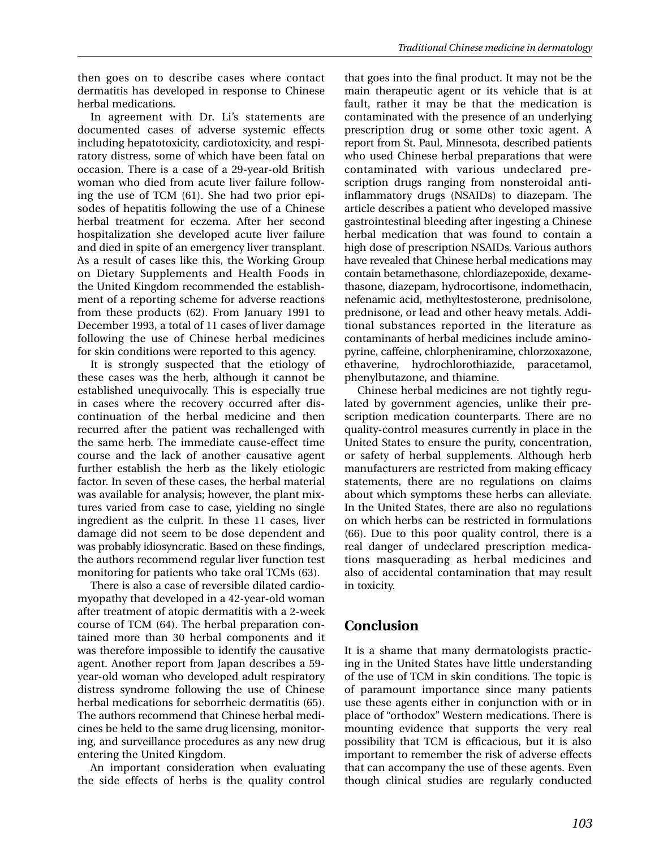then goes on to describe cases where contact dermatitis has developed in response to Chinese herbal medications.

In agreement with Dr. Li's statements are documented cases of adverse systemic effects including hepatotoxicity, cardiotoxicity, and respiratory distress, some of which have been fatal on occasion. There is a case of a 29-year-old British woman who died from acute liver failure following the use of TCM (61). She had two prior episodes of hepatitis following the use of a Chinese herbal treatment for eczema. After her second hospitalization she developed acute liver failure and died in spite of an emergency liver transplant. As a result of cases like this, the Working Group on Dietary Supplements and Health Foods in the United Kingdom recommended the establishment of a reporting scheme for adverse reactions from these products (62). From January 1991 to December 1993, a total of 11 cases of liver damage following the use of Chinese herbal medicines for skin conditions were reported to this agency.

It is strongly suspected that the etiology of these cases was the herb, although it cannot be established unequivocally. This is especially true in cases where the recovery occurred after discontinuation of the herbal medicine and then recurred after the patient was rechallenged with the same herb. The immediate cause-effect time course and the lack of another causative agent further establish the herb as the likely etiologic factor. In seven of these cases, the herbal material was available for analysis; however, the plant mixtures varied from case to case, yielding no single ingredient as the culprit. In these 11 cases, liver damage did not seem to be dose dependent and was probably idiosyncratic. Based on these findings, the authors recommend regular liver function test monitoring for patients who take oral TCMs (63).

There is also a case of reversible dilated cardiomyopathy that developed in a 42-year-old woman after treatment of atopic dermatitis with a 2-week course of TCM (64). The herbal preparation contained more than 30 herbal components and it was therefore impossible to identify the causative agent. Another report from Japan describes a 59 year-old woman who developed adult respiratory distress syndrome following the use of Chinese herbal medications for seborrheic dermatitis (65). The authors recommend that Chinese herbal medicines be held to the same drug licensing, monitoring, and surveillance procedures as any new drug entering the United Kingdom.

An important consideration when evaluating the side effects of herbs is the quality control that goes into the final product. It may not be the main therapeutic agent or its vehicle that is at fault, rather it may be that the medication is contaminated with the presence of an underlying prescription drug or some other toxic agent. A report from St. Paul, Minnesota, described patients who used Chinese herbal preparations that were contaminated with various undeclared prescription drugs ranging from nonsteroidal antiinflammatory drugs (NSAIDs) to diazepam. The article describes a patient who developed massive gastrointestinal bleeding after ingesting a Chinese herbal medication that was found to contain a high dose of prescription NSAIDs. Various authors have revealed that Chinese herbal medications may contain betamethasone, chlordiazepoxide, dexamethasone, diazepam, hydrocortisone, indomethacin, nefenamic acid, methyltestosterone, prednisolone, prednisone, or lead and other heavy metals. Additional substances reported in the literature as contaminants of herbal medicines include aminopyrine, caffeine, chlorpheniramine, chlorzoxazone, ethaverine, hydrochlorothiazide, paracetamol, phenylbutazone, and thiamine.

Chinese herbal medicines are not tightly regulated by government agencies, unlike their prescription medication counterparts. There are no quality-control measures currently in place in the United States to ensure the purity, concentration, or safety of herbal supplements. Although herb manufacturers are restricted from making efficacy statements, there are no regulations on claims about which symptoms these herbs can alleviate. In the United States, there are also no regulations on which herbs can be restricted in formulations (66). Due to this poor quality control, there is a real danger of undeclared prescription medications masquerading as herbal medicines and also of accidental contamination that may result in toxicity.

### **Conclusion**

It is a shame that many dermatologists practicing in the United States have little understanding of the use of TCM in skin conditions. The topic is of paramount importance since many patients use these agents either in conjunction with or in place of "orthodox" Western medications. There is mounting evidence that supports the very real possibility that TCM is efficacious, but it is also important to remember the risk of adverse effects that can accompany the use of these agents. Even though clinical studies are regularly conducted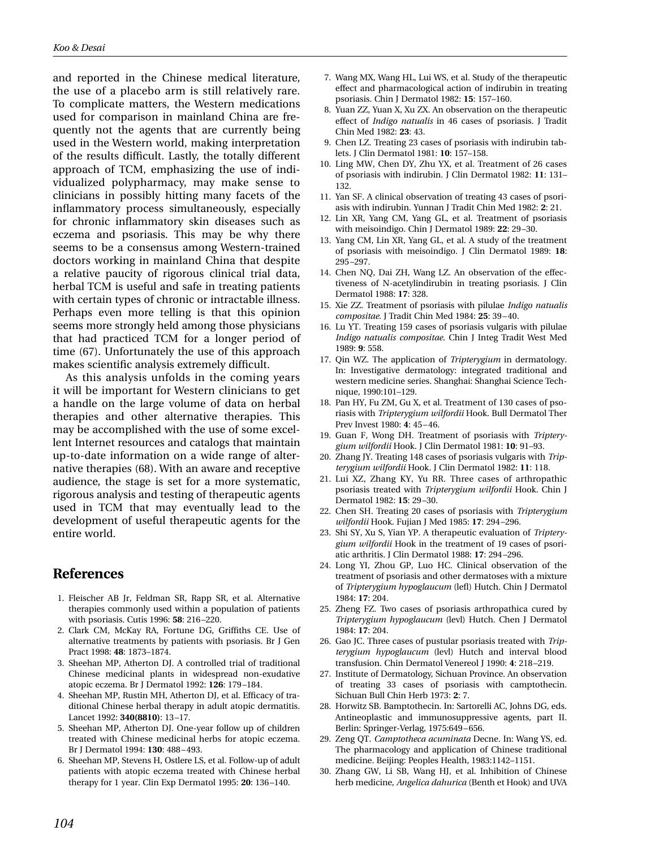and reported in the Chinese medical literature, the use of a placebo arm is still relatively rare. To complicate matters, the Western medications used for comparison in mainland China are frequently not the agents that are currently being used in the Western world, making interpretation of the results difficult. Lastly, the totally different approach of TCM, emphasizing the use of individualized polypharmacy, may make sense to clinicians in possibly hitting many facets of the inflammatory process simultaneously, especially for chronic inflammatory skin diseases such as eczema and psoriasis. This may be why there seems to be a consensus among Western-trained doctors working in mainland China that despite a relative paucity of rigorous clinical trial data, herbal TCM is useful and safe in treating patients with certain types of chronic or intractable illness. Perhaps even more telling is that this opinion seems more strongly held among those physicians that had practiced TCM for a longer period of time (67). Unfortunately the use of this approach makes scientific analysis extremely difficult.

As this analysis unfolds in the coming years it will be important for Western clinicians to get a handle on the large volume of data on herbal therapies and other alternative therapies. This may be accomplished with the use of some excellent Internet resources and catalogs that maintain up-to-date information on a wide range of alternative therapies (68). With an aware and receptive audience, the stage is set for a more systematic, rigorous analysis and testing of therapeutic agents used in TCM that may eventually lead to the development of useful therapeutic agents for the entire world.

#### **References**

- 1. Fleischer AB Jr, Feldman SR, Rapp SR, et al. Alternative therapies commonly used within a population of patients with psoriasis. Cutis 1996: **58**: 216–220.
- 2. Clark CM, McKay RA, Fortune DG, Griffiths CE. Use of alternative treatments by patients with psoriasis. Br J Gen Pract 1998: **48**: 1873–1874.
- 3. Sheehan MP, Atherton DJ. A controlled trial of traditional Chinese medicinal plants in widespread non-exudative atopic eczema. Br J Dermatol 1992: **126**: 179–184.
- 4. Sheehan MP, Rustin MH, Atherton DJ, et al. Efficacy of traditional Chinese herbal therapy in adult atopic dermatitis. Lancet 1992: **340(8810)**: 13–17.
- 5. Sheehan MP, Atherton DJ. One-year follow up of children treated with Chinese medicinal herbs for atopic eczema. Br J Dermatol 1994: **130**: 488–493.
- 6. Sheehan MP, Stevens H, Ostlere LS, et al. Follow-up of adult patients with atopic eczema treated with Chinese herbal therapy for 1 year. Clin Exp Dermatol 1995: **20**: 136–140.
- 7. Wang MX, Wang HL, Lui WS, et al. Study of the therapeutic effect and pharmacological action of indirubin in treating psoriasis. Chin J Dermatol 1982: **15**: 157–160.
- 8. Yuan ZZ, Yuan X, Xu ZX. An observation on the therapeutic effect of *Indigo natualis* in 46 cases of psoriasis. J Tradit Chin Med 1982: **23**: 43.
- 9. Chen LZ. Treating 23 cases of psoriasis with indirubin tablets. J Clin Dermatol 1981: **10**: 157–158.
- 10. Ling MW, Chen DY, Zhu YX, et al. Treatment of 26 cases of psoriasis with indirubin. J Clin Dermatol 1982: **11**: 131– 132.
- 11. Yan SF. A clinical observation of treating 43 cases of psoriasis with indirubin. Yunnan J Tradit Chin Med 1982: **2**: 21.
- 12. Lin XR, Yang CM, Yang GL, et al. Treatment of psoriasis with meisoindigo. Chin J Dermatol 1989: **22**: 29–30.
- 13. Yang CM, Lin XR, Yang GL, et al. A study of the treatment of psoriasis with meisoindigo. J Clin Dermatol 1989: **18**: 295–297.
- 14. Chen NQ, Dai ZH, Wang LZ. An observation of the effectiveness of N-acetylindirubin in treating psoriasis. J Clin Dermatol 1988: **17**: 328.
- 15. Xie ZZ. Treatment of psoriasis with pilulae *Indigo natualis compositae*. J Tradit Chin Med 1984: **25**: 39–40.
- 16. Lu YT. Treating 159 cases of psoriasis vulgaris with pilulae *Indigo natualis compositae*. Chin J Integ Tradit West Med 1989: **9**: 558.
- 17. Qin WZ. The application of *Tripterygium* in dermatology. In: Investigative dermatology: integrated traditional and western medicine series. Shanghai: Shanghai Science Technique, 1990:101–129.
- 18. Pan HY, Fu ZM, Gu X, et al. Treatment of 130 cases of psoriasis with *Tripterygium wilfordii* Hook. Bull Dermatol Ther Prev Invest 1980: **4**: 45–46.
- 19. Guan F, Wong DH. Treatment of psoriasis with *Tripterygium wilfordii* Hook. J Clin Dermatol 1981: **10**: 91–93.
- 20. Zhang JY. Treating 148 cases of psoriasis vulgaris with *Tripterygium wilfordii* Hook. J Clin Dermatol 1982: **11**: 118.
- 21. Lui XZ, Zhang KY, Yu RR. Three cases of arthropathic psoriasis treated with *Tripterygium wilfordii* Hook. Chin J Dermatol 1982: **15**: 29–30.
- 22. Chen SH. Treating 20 cases of psoriasis with *Tripterygium wilfordii* Hook. Fujian J Med 1985: **17**: 294–296.
- 23. Shi SY, Xu S, Yian YP. A therapeutic evaluation of *Tripterygium wilfordii* Hook in the treatment of 19 cases of psoriatic arthritis. J Clin Dermatol 1988: **17**: 294–296.
- 24. Long YI, Zhou GP, Luo HC. Clinical observation of the treatment of psoriasis and other dermatoses with a mixture of *Tripterygium hypoglaucum* (lefl) Hutch. Chin J Dermatol 1984: **17**: 204.
- 25. Zheng FZ. Two cases of psoriasis arthropathica cured by *Tripterygium hypoglaucum* (levl) Hutch. Chen J Dermatol 1984: **17**: 204.
- 26. Gao JC. Three cases of pustular psoriasis treated with *Tripterygium hypoglaucum* (levl) Hutch and interval blood transfusion. Chin Dermatol Venereol J 1990: **4**: 218–219.
- 27. Institute of Dermatology, Sichuan Province. An observation of treating 33 cases of psoriasis with camptothecin. Sichuan Bull Chin Herb 1973: **2**: 7.
- 28. Horwitz SB. Bamptothecin. In: Sartorelli AC, Johns DG, eds. Antineoplastic and immunosuppressive agents, part II. Berlin: Springer-Verlag, 1975:649–656.
- 29. Zeng QT. *Camptotheca acuminata* Decne. In: Wang YS, ed. The pharmacology and application of Chinese traditional medicine. Beijing: Peoples Health, 1983:1142–1151.
- 30. Zhang GW, Li SB, Wang HJ, et al. Inhibition of Chinese herb medicine, *Angelica dahurica* (Benth et Hook) and UVA